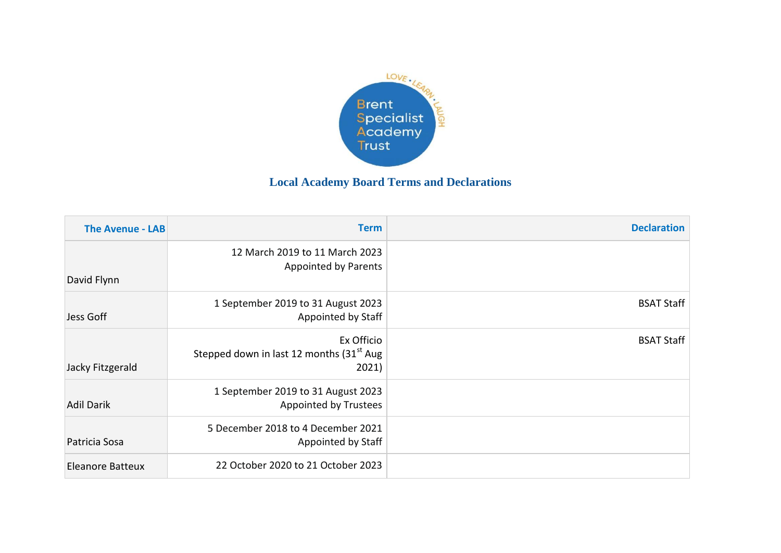

## **Local Academy Board Terms and Declarations**

| <b>The Avenue - LAB</b> | <b>Term</b>                                                                 | <b>Declaration</b> |
|-------------------------|-----------------------------------------------------------------------------|--------------------|
| David Flynn             | 12 March 2019 to 11 March 2023<br><b>Appointed by Parents</b>               |                    |
|                         |                                                                             |                    |
| Jess Goff               | 1 September 2019 to 31 August 2023<br>Appointed by Staff                    | <b>BSAT Staff</b>  |
| Jacky Fitzgerald        | Ex Officio<br>Stepped down in last 12 months (31 <sup>st</sup> Aug<br>2021) | <b>BSAT Staff</b>  |
| <b>Adil Darik</b>       | 1 September 2019 to 31 August 2023<br><b>Appointed by Trustees</b>          |                    |
| Patricia Sosa           | 5 December 2018 to 4 December 2021<br>Appointed by Staff                    |                    |
| <b>Eleanore Batteux</b> | 22 October 2020 to 21 October 2023                                          |                    |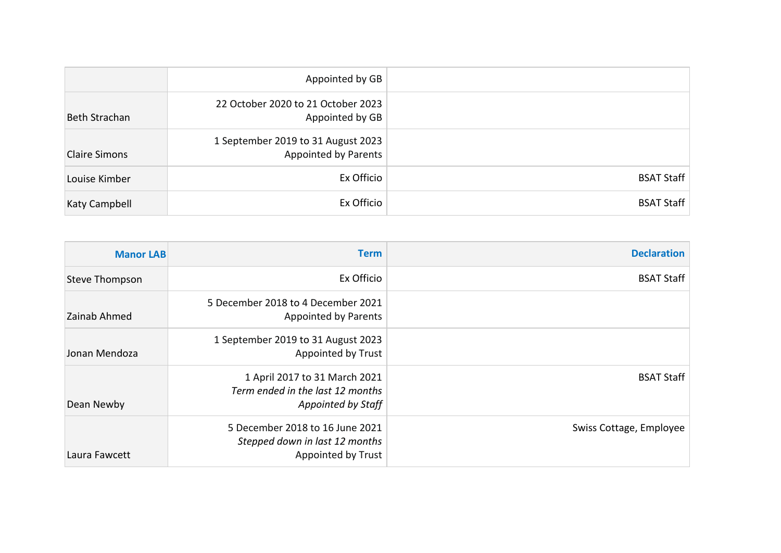|                      | Appointed by GB                                                   |                   |
|----------------------|-------------------------------------------------------------------|-------------------|
| Beth Strachan        | 22 October 2020 to 21 October 2023<br>Appointed by GB             |                   |
| <b>Claire Simons</b> | 1 September 2019 to 31 August 2023<br><b>Appointed by Parents</b> |                   |
| Louise Kimber        | Ex Officio                                                        | <b>BSAT Staff</b> |
| Katy Campbell        | Ex Officio                                                        | <b>BSAT Staff</b> |

| <b>Manor LAB</b> | <b>Term</b>                                                                                    | <b>Declaration</b>      |
|------------------|------------------------------------------------------------------------------------------------|-------------------------|
| Steve Thompson   | Ex Officio                                                                                     | <b>BSAT Staff</b>       |
| Zainab Ahmed     | 5 December 2018 to 4 December 2021<br><b>Appointed by Parents</b>                              |                         |
| Jonan Mendoza    | 1 September 2019 to 31 August 2023<br><b>Appointed by Trust</b>                                |                         |
| Dean Newby       | 1 April 2017 to 31 March 2021<br>Term ended in the last 12 months<br>Appointed by Staff        | <b>BSAT Staff</b>       |
| Laura Fawcett    | 5 December 2018 to 16 June 2021<br>Stepped down in last 12 months<br><b>Appointed by Trust</b> | Swiss Cottage, Employee |